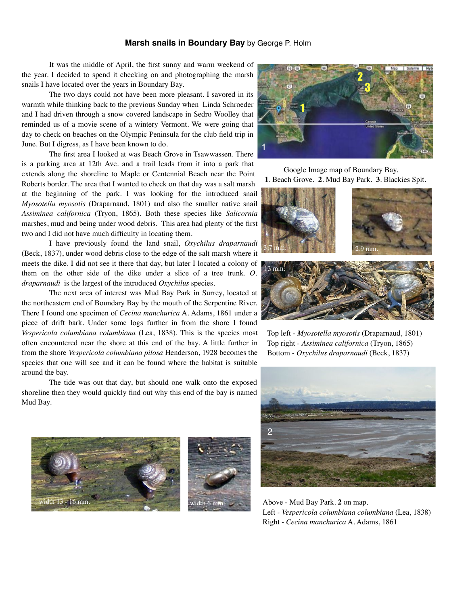## **Marsh snails in Boundary Bay** by George P. Holm

It was the middle of April, the first sunny and warm weekend of the year. I decided to spend it checking on and photographing the marsh snails I have located over the years in Boundary Bay.

The two days could not have been more pleasant. I savored in its warmth while thinking back to the previous Sunday when Linda Schroeder and I had driven through a snow covered landscape in Sedro Woolley that reminded us of a movie scene of a wintery Vermont. We were going that day to check on beaches on the Olympic Peninsula for the club field trip in June. But I digress, as I have been known to do.

The first area I looked at was Beach Grove in Tsawwassen. There is a parking area at 12th Ave. and a trail leads from it into a park that extends along the shoreline to Maple or Centennial Beach near the Point Roberts border. The area that I wanted to check on that day was a salt marsh at the beginning of the park. I was looking for the introduced snail *Myosotella myosotis* (Draparnaud, 1801) and also the smaller native snail *Assiminea californica* (Tryon, 1865). Both these species like *Salicornia* marshes, mud and being under wood debris. This area had plenty of the first two and I did not have much difficulty in locating them.

I have previously found the land snail, *Oxychilus draparnaudi* (Beck, 1837), under wood debris close to the edge of the salt marsh where it meets the dike. I did not see it there that day, but later I located a colony of them on the other side of the dike under a slice of a tree trunk. *O. draparnaudi* is the largest of the introduced *Oxychilus* species.

The next area of interest was Mud Bay Park in Surrey, located at the northeastern end of Boundary Bay by the mouth of the Serpentine River. There I found one specimen of *Cecina manchurica* A. Adams, 1861 under a piece of drift bark. Under some logs further in from the shore I found *Vespericola columbiana columbiana* (Lea, 1838). This is the species most often encountered near the shore at this end of the bay. A little further in from the shore *Vespericola columbiana pilosa* Henderson, 1928 becomes the species that one will see and it can be found where the habitat is suitable around the bay.

The tide was out that day, but should one walk onto the exposed shoreline then they would quickly find out why this end of the bay is named Mud Bay.







 Google Image map of Boundary Bay. **1**. Beach Grove. **2**. Mud Bay Park. **3**. Blackies Spit.



 Top left - *Myosotella myosotis* (Draparnaud, 1801) Top right - *Assiminea californica* (Tryon, 1865) Bottom - *Oxychilus draparnaudi* (Beck, 1837)



Above - Mud Bay Park. **2** on map. Left *- Vespericola columbiana columbiana* (Lea, 1838) Right - *Cecina manchurica* A. Adams, 1861